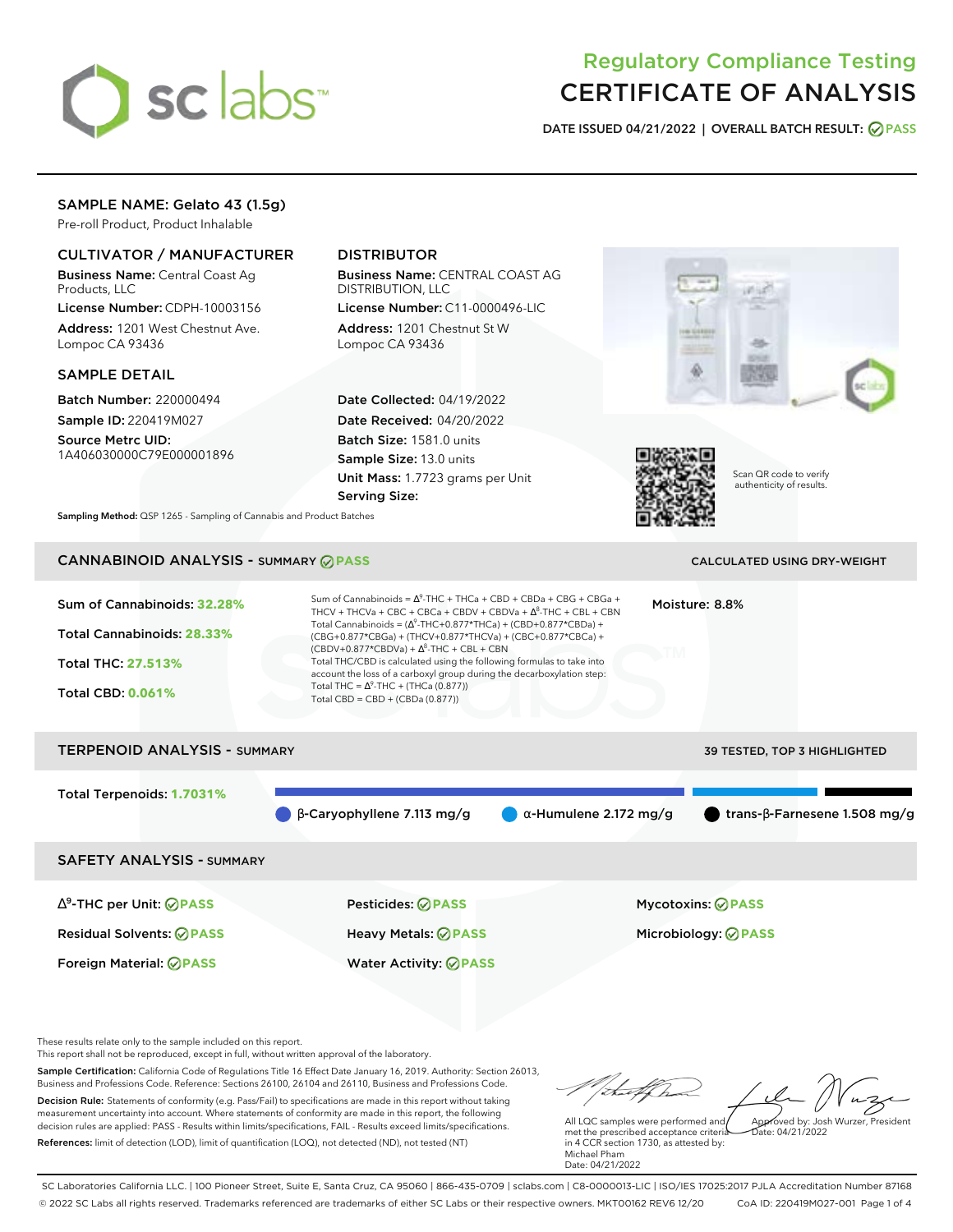

# Regulatory Compliance Testing CERTIFICATE OF ANALYSIS

**DATE ISSUED 04/21/2022 | OVERALL BATCH RESULT: PASS**

### SAMPLE NAME: Gelato 43 (1.5g)

Pre-roll Product, Product Inhalable

## CULTIVATOR / MANUFACTURER

Business Name: Central Coast Ag Products, LLC

License Number: CDPH-10003156 Address: 1201 West Chestnut Ave. Lompoc CA 93436

#### SAMPLE DETAIL

Batch Number: 220000494 Sample ID: 220419M027

Source Metrc UID: 1A406030000C79E000001896

## DISTRIBUTOR

Business Name: CENTRAL COAST AG DISTRIBUTION, LLC

License Number: C11-0000496-LIC Address: 1201 Chestnut St W Lompoc CA 93436

Date Collected: 04/19/2022 Date Received: 04/20/2022 Batch Size: 1581.0 units Sample Size: 13.0 units Unit Mass: 1.7723 grams per Unit Serving Size:





Scan QR code to verify authenticity of results.

**Sampling Method:** QSP 1265 - Sampling of Cannabis and Product Batches

# **CANNABINOID ANALYSIS - SUMMARY @ PASS** CALCULATED USING DRY-WEIGHT

#### Sum of Cannabinoids: **32.28%** Total Cannabinoids: **28.33%** Total THC: **27.513%** Total CBD: **0.061%** Sum of Cannabinoids =  $\Delta^9$ -THC + THCa + CBD + CBDa + CBG + CBGa + THCV + THCVa + CBC + CBCa + CBDV + CBDVa +  $\Delta^8$ -THC + CBL + CBN Total Cannabinoids = ( $\Delta^9$ -THC+0.877\*THCa) + (CBD+0.877\*CBDa) + (CBG+0.877\*CBGa) + (THCV+0.877\*THCVa) + (CBC+0.877\*CBCa) +  $(CBDV+0.877*CBDVa) + \Delta^8$ -THC + CBL + CBN Total THC/CBD is calculated using the following formulas to take into account the loss of a carboxyl group during the decarboxylation step: Total THC =  $\Delta^9$ -THC + (THCa (0.877)) Total CBD = CBD + (CBDa (0.877)) Moisture: 8.8% TERPENOID ANALYSIS - SUMMARY 39 TESTED, TOP 3 HIGHLIGHTED Total Terpenoids: **1.7031%**  $\bullet$  β-Caryophyllene 7.113 mg/g  $\bullet$  α-Humulene 2.172 mg/g  $\bullet$  trans-β-Farnesene 1.508 mg/g SAFETY ANALYSIS - SUMMARY

∆ 9 -THC per Unit: **PASS** Pesticides: **PASS** Mycotoxins: **PASS** Residual Solvents: **PASS** Heavy Metals: **PASS** Microbiology: **PASS**

Foreign Material: **PASS** Water Activity: **PASS**

These results relate only to the sample included on this report.

This report shall not be reproduced, except in full, without written approval of the laboratory.

Sample Certification: California Code of Regulations Title 16 Effect Date January 16, 2019. Authority: Section 26013, Business and Professions Code. Reference: Sections 26100, 26104 and 26110, Business and Professions Code. Decision Rule: Statements of conformity (e.g. Pass/Fail) to specifications are made in this report without taking measurement uncertainty into account. Where statements of conformity are made in this report, the following decision rules are applied: PASS - Results within limits/specifications, FAIL - Results exceed limits/specifications.

References: limit of detection (LOD), limit of quantification (LOQ), not detected (ND), not tested (NT)

Approved by: Josh Wurzer, President

Date: 04/21/2022

All LQC samples were performed and met the prescribed acceptance criteria in 4 CCR section 1730, as attested by: Michael Pham Date: 04/21/2022

SC Laboratories California LLC. | 100 Pioneer Street, Suite E, Santa Cruz, CA 95060 | 866-435-0709 | sclabs.com | C8-0000013-LIC | ISO/IES 17025:2017 PJLA Accreditation Number 87168 © 2022 SC Labs all rights reserved. Trademarks referenced are trademarks of either SC Labs or their respective owners. MKT00162 REV6 12/20 CoA ID: 220419M027-001 Page 1 of 4